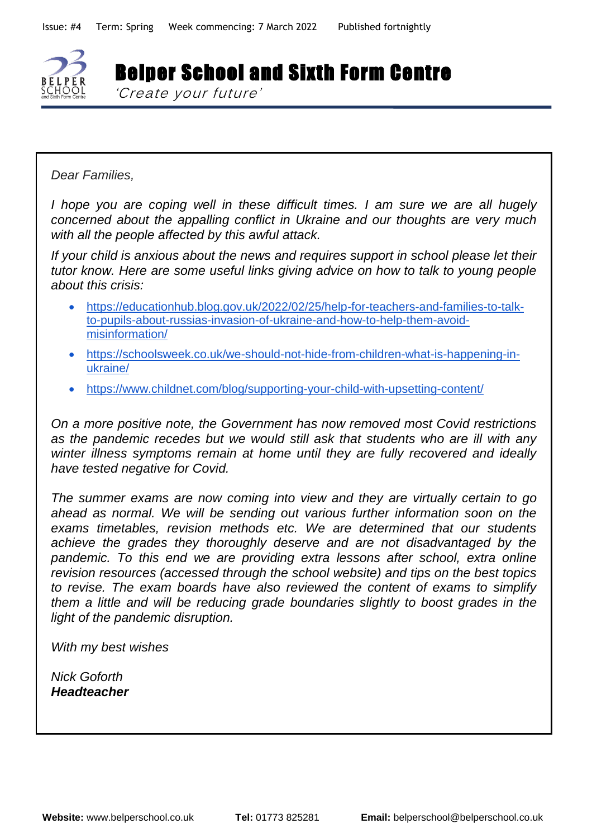

Belper School and Sixth Form Centre

'Create your future'

*'Create your future'*

*Dear Families,* 

*I hope you are coping well in these difficult times. I am sure we are all hugely concerned about the appalling conflict in Ukraine and our thoughts are very much with all the people affected by this awful attack.* 

*If your child is anxious about the news and requires support in school please let their tutor know. Here are some useful links giving advice on how to talk to young people about this crisis:*

- [https://educationhub.blog.gov.uk/2022/02/25/help-for-teachers-and-families-to-talk](https://educationhub.blog.gov.uk/2022/02/25/help-for-teachers-and-families-to-talk-to-pupils-about-russias-invasion-of-ukraine-and-how-to-help-them-avoid-misinformation/)[to-pupils-about-russias-invasion-of-ukraine-and-how-to-help-them-avoid](https://educationhub.blog.gov.uk/2022/02/25/help-for-teachers-and-families-to-talk-to-pupils-about-russias-invasion-of-ukraine-and-how-to-help-them-avoid-misinformation/)[misinformation/](https://educationhub.blog.gov.uk/2022/02/25/help-for-teachers-and-families-to-talk-to-pupils-about-russias-invasion-of-ukraine-and-how-to-help-them-avoid-misinformation/)
- [https://schoolsweek.co.uk/we-should-not-hide-from-children-what-is-happening-in](https://schoolsweek.co.uk/we-should-not-hide-from-children-what-is-happening-in-ukraine/)[ukraine/](https://schoolsweek.co.uk/we-should-not-hide-from-children-what-is-happening-in-ukraine/)
- <https://www.childnet.com/blog/supporting-your-child-with-upsetting-content/>

*On a more positive note, the Government has now removed most Covid restrictions as the pandemic recedes but we would still ask that students who are ill with any winter illness symptoms remain at home until they are fully recovered and ideally have tested negative for Covid.* 

*The summer exams are now coming into view and they are virtually certain to go ahead as normal. We will be sending out various further information soon on the exams timetables, revision methods etc. We are determined that our students achieve the grades they thoroughly deserve and are not disadvantaged by the pandemic. To this end we are providing extra lessons after school, extra online revision resources (accessed through the school website) and tips on the best topics to revise. The exam boards have also reviewed the content of exams to simplify them a little and will be reducing grade boundaries slightly to boost grades in the light of the pandemic disruption.* 

*With my best wishes*

*Nick Goforth Headteacher*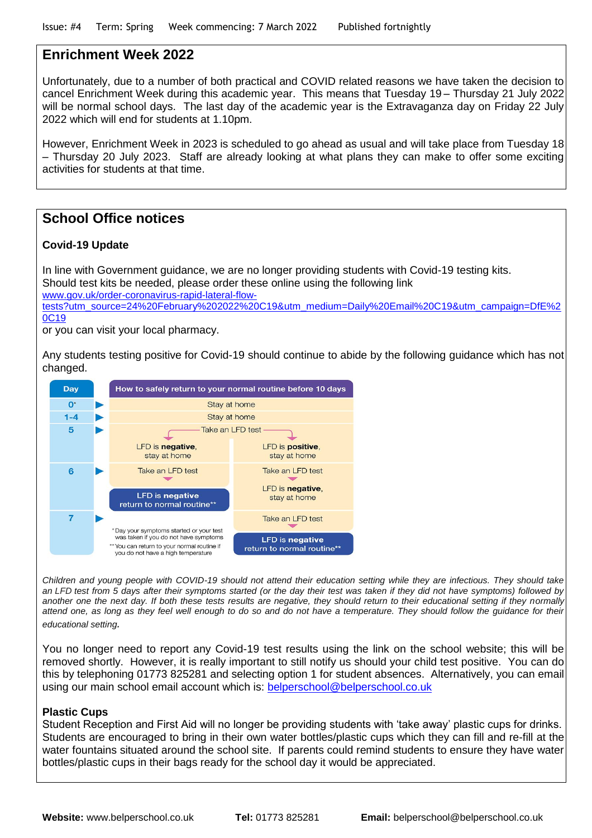#### **Enrichment Week 2022**

Unfortunately, due to a number of both practical and COVID related reasons we have taken the decision to cancel Enrichment Week during this academic year. This means that Tuesday 19 – Thursday 21 July 2022 will be normal school days. The last day of the academic year is the Extravaganza day on Friday 22 July 2022 which will end for students at 1.10pm.

However, Enrichment Week in 2023 is scheduled to go ahead as usual and will take place from Tuesday 18 – Thursday 20 July 2023. Staff are already looking at what plans they can make to offer some exciting activities for students at that time.

## **School Office notices**

#### **Covid-19 Update**

In line with Government guidance, we are no longer providing students with Covid-19 testing kits. Should test kits be needed, please order these online using the following link [www.gov.uk/order-coronavirus-rapid-lateral-flow](http://www.gov.uk/order-coronavirus-rapid-lateral-flow-tests?utm_source=24%20February%202022%20C19&utm_medium=Daily%20Email%20C19&utm_campaign=DfE%20C19)[tests?utm\\_source=24%20February%202022%20C19&utm\\_medium=Daily%20Email%20C19&utm\\_campaign=DfE%2](http://www.gov.uk/order-coronavirus-rapid-lateral-flow-tests?utm_source=24%20February%202022%20C19&utm_medium=Daily%20Email%20C19&utm_campaign=DfE%20C19) [0C19](http://www.gov.uk/order-coronavirus-rapid-lateral-flow-tests?utm_source=24%20February%202022%20C19&utm_medium=Daily%20Email%20C19&utm_campaign=DfE%20C19)

or you can visit your local pharmacy.

Any students testing positive for Covid-19 should continue to abide by the following guidance which has not changed.



*Children and young people with COVID-19 should not attend their education setting while they are infectious. They should take an LFD test from 5 days after their symptoms started (or the day their test was taken if they did not have symptoms) followed by another one the next day. If both these tests results are negative, they should return to their educational setting if they normally attend one, as long as they feel well enough to do so and do not have a temperature. They should follow the guidance for their educational setting.*

You no longer need to report any Covid-19 test results using the link on the school website; this will be removed shortly. However, it is really important to still notify us should your child test positive. You can do this by telephoning 01773 825281 and selecting option 1 for student absences. Alternatively, you can email using our main school email account which is: [belperschool@belperschool.co.uk](mailto:belperschool@belperschool.co.uk)

#### **Plastic Cups**

Student Reception and First Aid will no longer be providing students with 'take away' plastic cups for drinks. Students are encouraged to bring in their own water bottles/plastic cups which they can fill and re-fill at the water fountains situated around the school site. If parents could remind students to ensure they have water bottles/plastic cups in their bags ready for the school day it would be appreciated.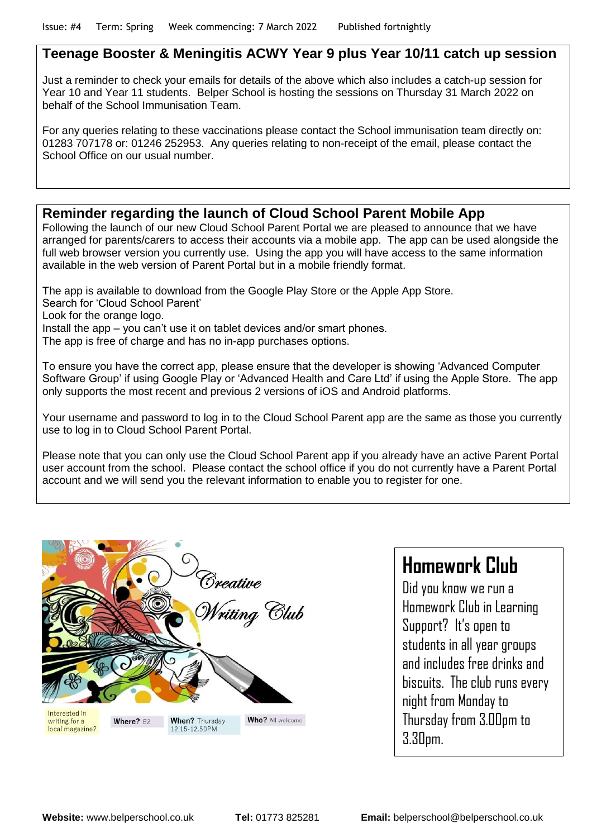## **Teenage Booster & Meningitis ACWY Year 9 plus Year 10/11 catch up session**

Just a reminder to check your emails for details of the above which also includes a catch-up session for Year 10 and Year 11 students. Belper School is hosting the sessions on Thursday 31 March 2022 on behalf of the School Immunisation Team.

For any queries relating to these vaccinations please contact the School immunisation team directly on: 01283 707178 or: 01246 252953. Any queries relating to non-receipt of the email, please contact the School Office on our usual number.

## **Reminder regarding the launch of Cloud School Parent Mobile App**

Following the launch of our new Cloud School Parent Portal we are pleased to announce that we have arranged for parents/carers to access their accounts via a mobile app. The app can be used alongside the full web browser version you currently use. Using the app you will have access to the same information available in the web version of Parent Portal but in a mobile friendly format.

The app is available to download from the Google Play Store or the Apple App Store.

Search for 'Cloud School Parent'

Look for the orange logo.

Install the app – you can't use it on tablet devices and/or smart phones.

The app is free of charge and has no in-app purchases options.

To ensure you have the correct app, please ensure that the developer is showing 'Advanced Computer Software Group' if using Google Play or 'Advanced Health and Care Ltd' if using the Apple Store. The app only supports the most recent and previous 2 versions of iOS and Android platforms.

Your username and password to log in to the Cloud School Parent app are the same as those you currently use to log in to Cloud School Parent Portal.

Please note that you can only use the Cloud School Parent app if you already have an active Parent Portal user account from the school. Please contact the school office if you do not currently have a Parent Portal account and we will send you the relevant information to enable you to register for one.



# **Homework Club**

Did you know we run a Homework Club in Learning Support? It's open to students in all year groups and includes free drinks and biscuits. The club runs every night from Monday to Thursday from 3.00pm to 3.30pm.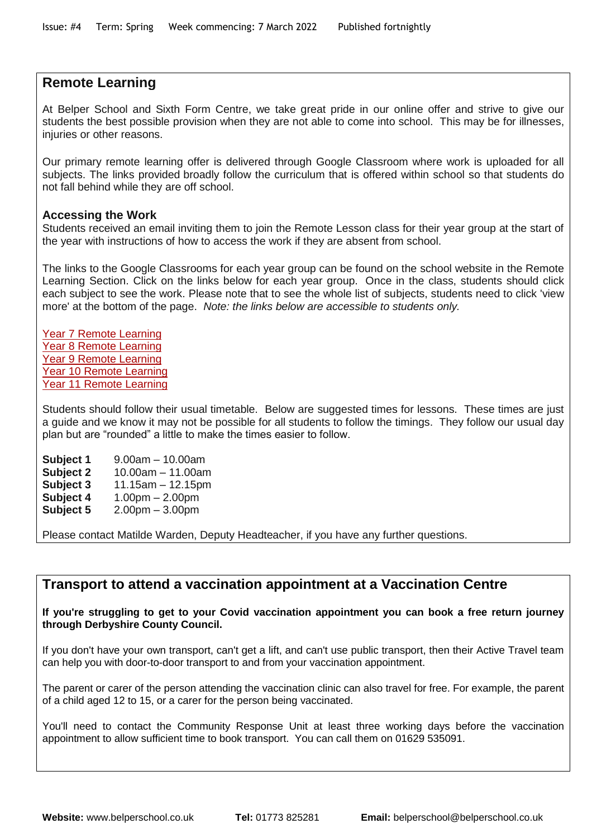#### **Remote Learning**

At Belper School and Sixth Form Centre, we take great pride in our online offer and strive to give our students the best possible provision when they are not able to come into school. This may be for illnesses, injuries or other reasons.

Our primary remote learning offer is delivered through Google Classroom where work is uploaded for all subjects. The links provided broadly follow the curriculum that is offered within school so that students do not fall behind while they are off school.

#### **Accessing the Work**

Students received an email inviting them to join the Remote Lesson class for their year group at the start of the year with instructions of how to access the work if they are absent from school.

The links to the Google Classrooms for each year group can be found on the school website in the Remote Learning Section. Click on the links below for each year group. Once in the class, students should click each subject to see the work. Please note that to see the whole list of subjects, students need to click 'view more' at the bottom of the page. *Note: the links below are accessible to students only.*

Year 7 Remote [Learning](https://classroom.google.com/w/Mzk3MzM1MzQ3NzMx/t/all) Year 8 Remote [Learning](https://classroom.google.com/w/Mzk3MzQ2MDIyNDA4/t/all) Year 9 Remote [Learning](https://classroom.google.com/w/Mzk3MzQ3ODg5MDU3/t/all) Year 10 Remote [Learning](https://classroom.google.com/w/MjI2ODEzODA4MTE3/t/all) Year 11 Remote [Learning](https://classroom.google.com/w/MzQ1Mjk0ODE5ODQ1/t/all)

Students should follow their usual timetable. Below are suggested times for lessons. These times are just a guide and we know it may not be possible for all students to follow the timings. They follow our usual day plan but are "rounded" a little to make the times easier to follow.

**Subject 1** 9.00am – 10.00am **Subject 2** 10.00am – 11.00am **Subject 3** 11.15am – 12.15pm **Subject 4** 1.00pm – 2.00pm **Subject 5** 2.00pm – 3.00pm

Please contact Matilde Warden, Deputy Headteacher, if you have any further questions.

## **Transport to attend a vaccination appointment at a Vaccination Centre**

**If you're struggling to get to your Covid vaccination appointment you can book a free return journey through Derbyshire County Council.**

If you don't have your own transport, can't get a lift, and can't use public transport, then their Active Travel team can help you with door-to-door transport to and from your vaccination appointment.

The parent or carer of the person attending the vaccination clinic can also travel for free. For example, the parent of a child aged 12 to 15, or a carer for the person being vaccinated.

You'll need to contact the Community Response Unit at least three working days before the vaccination appointment to allow sufficient time to book transport. You can call them on 01629 535091.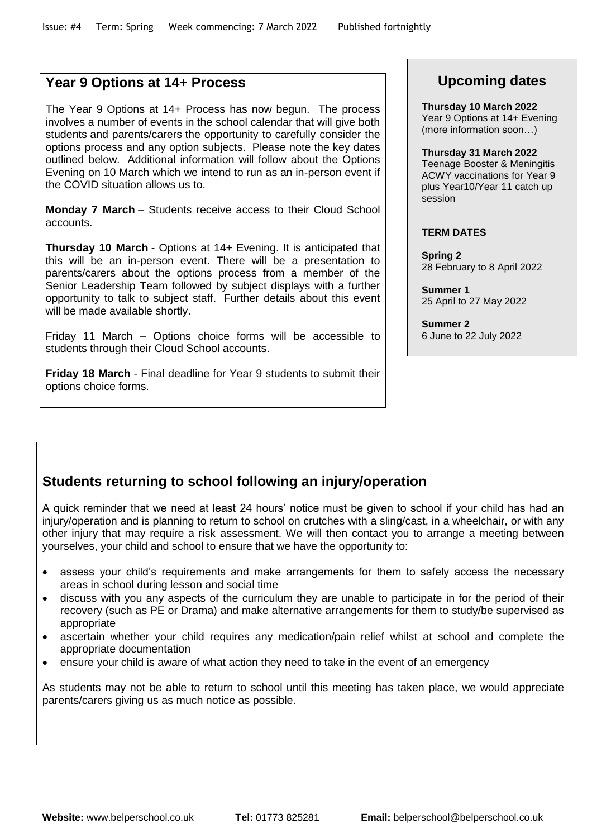#### **Year 9 Options at 14+ Process**

The Year 9 Options at 14+ Process has now begun. The process involves a number of events in the school calendar that will give both students and parents/carers the opportunity to carefully consider the options process and any option subjects. Please note the key dates outlined below. Additional information will follow about the Options Evening on 10 March which we intend to run as an in-person event if the COVID situation allows us to.

**Monday 7 March** – Students receive access to their Cloud School accounts.

**Thursday 10 March** - Options at 14+ Evening. It is anticipated that this will be an in-person event. There will be a presentation to parents/carers about the options process from a member of the Senior Leadership Team followed by subject displays with a further opportunity to talk to subject staff. Further details about this event will be made available shortly.

Friday 11 March – Options choice forms will be accessible to students through their Cloud School accounts.

**Friday 18 March** - Final deadline for Year 9 students to submit their options choice forms.

## **Upcoming dates**

**Thursday 10 March 2022** Year 9 Options at 14+ Evening (more information soon…)

**Thursday 31 March 2022**

Teenage Booster & Meningitis ACWY vaccinations for Year 9 plus Year10/Year 11 catch up session

#### **TERM DATES**

**Spring 2** 28 February to 8 April 2022

**Summer 1** 25 April to 27 May 2022

**Summer 2** 6 June to 22 July 2022

## **Students returning to school following an injury/operation**

A quick reminder that we need at least 24 hours' notice must be given to school if your child has had an injury/operation and is planning to return to school on crutches with a sling/cast, in a wheelchair, or with any other injury that may require a risk assessment. We will then contact you to arrange a meeting between yourselves, your child and school to ensure that we have the opportunity to:

- assess your child's requirements and make arrangements for them to safely access the necessary areas in school during lesson and social time
- discuss with you any aspects of the curriculum they are unable to participate in for the period of their recovery (such as PE or Drama) and make alternative arrangements for them to study/be supervised as appropriate
- ascertain whether your child requires any medication/pain relief whilst at school and complete the appropriate documentation
- ensure your child is aware of what action they need to take in the event of an emergency

As students may not be able to return to school until this meeting has taken place, we would appreciate parents/carers giving us as much notice as possible.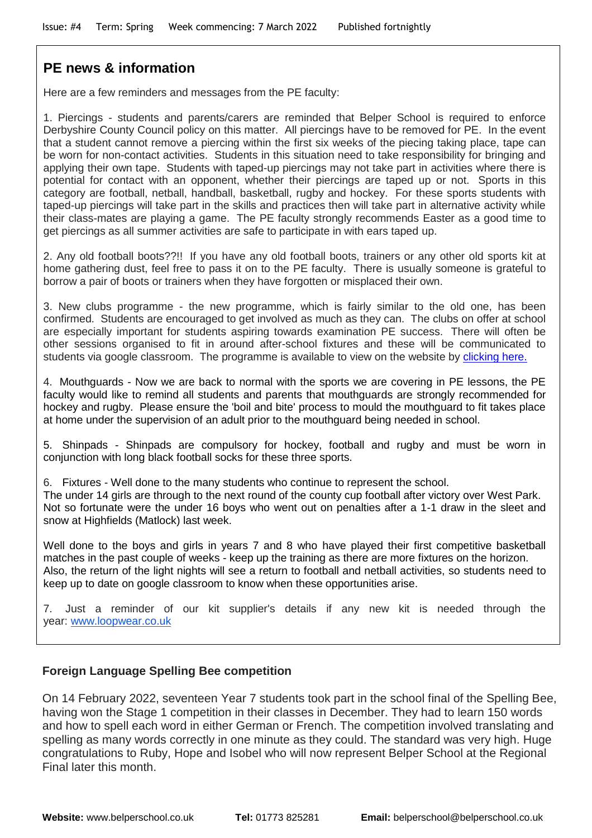## **PE news & information**

Here are a few reminders and messages from the PE faculty:

1. Piercings - students and parents/carers are reminded that Belper School is required to enforce Derbyshire County Council policy on this matter. All piercings have to be removed for PE. In the event that a student cannot remove a piercing within the first six weeks of the piecing taking place, tape can be worn for non-contact activities. Students in this situation need to take responsibility for bringing and applying their own tape. Students with taped-up piercings may not take part in activities where there is potential for contact with an opponent, whether their piercings are taped up or not. Sports in this category are football, netball, handball, basketball, rugby and hockey. For these sports students with taped-up piercings will take part in the skills and practices then will take part in alternative activity while their class-mates are playing a game. The PE faculty strongly recommends Easter as a good time to get piercings as all summer activities are safe to participate in with ears taped up.

2. Any old football boots??!! If you have any old football boots, trainers or any other old sports kit at home gathering dust, feel free to pass it on to the PE faculty. There is usually someone is grateful to borrow a pair of boots or trainers when they have forgotten or misplaced their own.

3. New clubs programme - the new programme, which is fairly similar to the old one, has been confirmed. Students are encouraged to get involved as much as they can. The clubs on offer at school are especially important for students aspiring towards examination PE success. There will often be other sessions organised to fit in around after-school fixtures and these will be communicated to students via google classroom. The programme is available to view on the website by [clicking here.](https://www.belperschool.co.uk/?page_id=3133)

4. Mouthguards - Now we are back to normal with the sports we are covering in PE lessons, the PE faculty would like to remind all students and parents that mouthguards are strongly recommended for hockey and rugby. Please ensure the 'boil and bite' process to mould the mouthguard to fit takes place at home under the supervision of an adult prior to the mouthguard being needed in school.

5. Shinpads - Shinpads are compulsory for hockey, football and rugby and must be worn in conjunction with long black football socks for these three sports.

6. Fixtures - Well done to the many students who continue to represent the school.

The under 14 girls are through to the next round of the county cup football after victory over West Park. Not so fortunate were the under 16 boys who went out on penalties after a 1-1 draw in the sleet and snow at Highfields (Matlock) last week.

Well done to the boys and girls in years 7 and 8 who have played their first competitive basketball matches in the past couple of weeks - keep up the training as there are more fixtures on the horizon. Also, the return of the light nights will see a return to football and netball activities, so students need to keep up to date on google classroom to know when these opportunities arise.

7. Just a reminder of our kit supplier's details if any new kit is needed through the year: [www.loopwear.co.uk](http://www.loopwear.co.uk/)

#### **Foreign Language Spelling Bee competition**

On 14 February 2022, seventeen Year 7 students took part in the school final of the Spelling Bee, having won the Stage 1 competition in their classes in December. They had to learn 150 words and how to spell each word in either German or French. The competition involved translating and spelling as many words correctly in one minute as they could. The standard was very high. Huge congratulations to Ruby, Hope and Isobel who will now represent Belper School at the Regional Final later this month.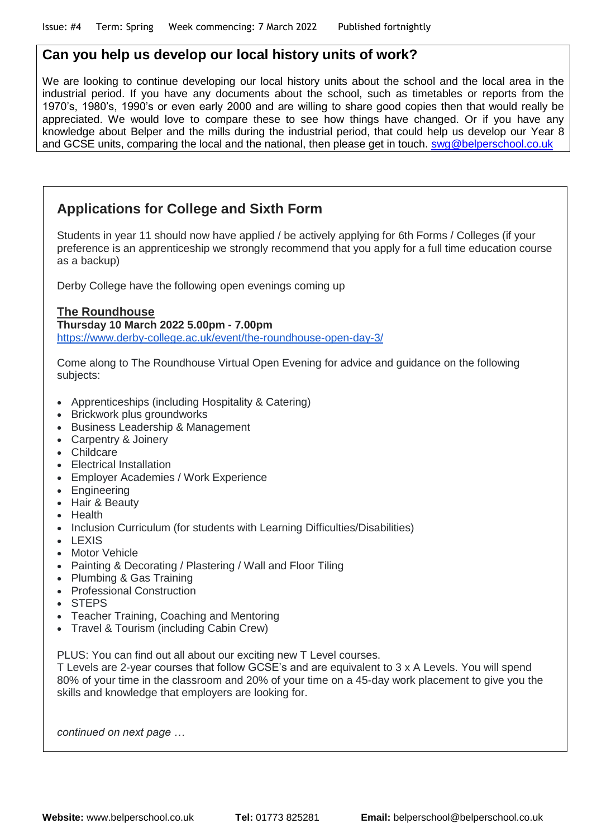## **Can you help us develop our local history units of work?**

We are looking to continue developing our local history units about the school and the local area in the industrial period. If you have any documents about the school, such as timetables or reports from the 1970's, 1980's, 1990's or even early 2000 and are willing to share good copies then that would really be appreciated. We would love to compare these to see how things have changed. Or if you have any knowledge about Belper and the mills during the industrial period, that could help us develop our Year 8 and GCSE units, comparing the local and the national, then please get in touch. [swg@belperschool.co.uk](mailto:swg@belperschool.co.uk)

## **Applications for College and Sixth Form**

Students in year 11 should now have applied / be actively applying for 6th Forms / Colleges (if your preference is an apprenticeship we strongly recommend that you apply for a full time education course as a backup)

Derby College have the following open evenings coming up

**The Roundhouse Thursday 10 March 2022 5.00pm - 7.00pm** <https://www.derby-college.ac.uk/event/the-roundhouse-open-day-3/>

Come along to The Roundhouse Virtual Open Evening for advice and guidance on the following subjects:

- Apprenticeships (including Hospitality & Catering)
- Brickwork plus groundworks
- Business Leadership & Management
- Carpentry & Joinery
- Childcare
- Electrical Installation
- Employer Academies / Work Experience
- Engineering
- Hair & Beauty
- Health
- Inclusion Curriculum (for students with Learning Difficulties/Disabilities)
- LEXIS
- Motor Vehicle
- Painting & Decorating / Plastering / Wall and Floor Tiling
- Plumbing & Gas Training
- Professional Construction
- STEPS
- Teacher Training, Coaching and Mentoring
- Travel & Tourism (including Cabin Crew)

PLUS: You can find out all about our exciting new T Level courses.

T Levels are 2-year courses that follow GCSE's and are equivalent to 3 x A Levels. You will spend 80% of your time in the classroom and 20% of your time on a 45-day work placement to give you the skills and knowledge that employers are looking for.

*continued on next page …*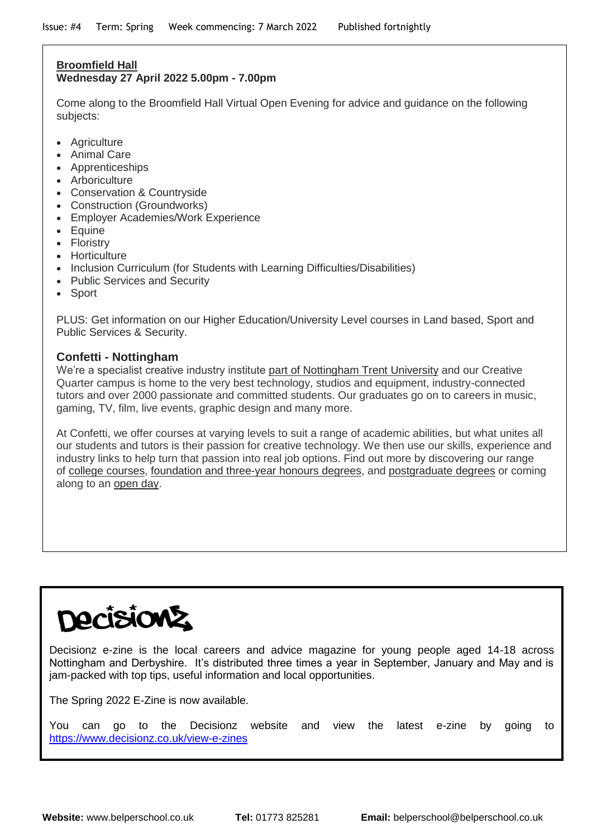#### **Broomfield Hall Wednesday 27 April 2022 5.00pm - 7.00pm**

Come along to the Broomfield Hall Virtual Open Evening for advice and guidance on the following subjects:

- Agriculture
- Animal Care
- Apprenticeships
- Arboriculture
- Conservation & Countryside
- Construction (Groundworks)
- Employer Academies/Work Experience
- Equine
- Floristry
- Horticulture
- Inclusion Curriculum (for Students with Learning Difficulties/Disabilities)
- Public Services and Security
- Sport

PLUS: Get information on our Higher Education/University Level courses in Land based, Sport and Public Services & Security.

#### **Confetti - Nottingham**

We're a specialist creative industry institute part of [Nottingham](http://confetti.ac.uk/about-confetti-nottingham/confetti-and-ntu/) Trent University and our Creative Quarter campus is home to the very best technology, studios and equipment, industry-connected tutors and over 2000 passionate and committed students. Our graduates go on to careers in music, gaming, TV, film, live events, graphic design and many more.

At Confetti, we offer courses at varying levels to suit a range of academic abilities, but what unites all our students and tutors is their passion for creative technology. We then use our skills, experience and industry links to help turn that passion into real job options. Find out more by discovering our range of college [courses,](https://confetti.ac.uk/college-courses-nottingham/) [foundation](https://confetti.ac.uk/degree-courses-nottingham/) and three-year honours degrees, and [postgraduate](https://confetti.ac.uk/postgraduate-degrees-nottingham/) degrees or coming along to an [open](http://confetti.ac.uk/open-day/) day.

# **ecisio**

Decisionz e-zine is the local careers and advice magazine for young people aged 14-18 across Nottingham and Derbyshire. It's distributed three times a year in September, January and May and is jam-packed with top tips, useful information and local opportunities.

The Spring 2022 E-Zine is now available.

You can go to the Decisionz website and view the latest e-zine by going to <https://www.decisionz.co.uk/view-e-zines>